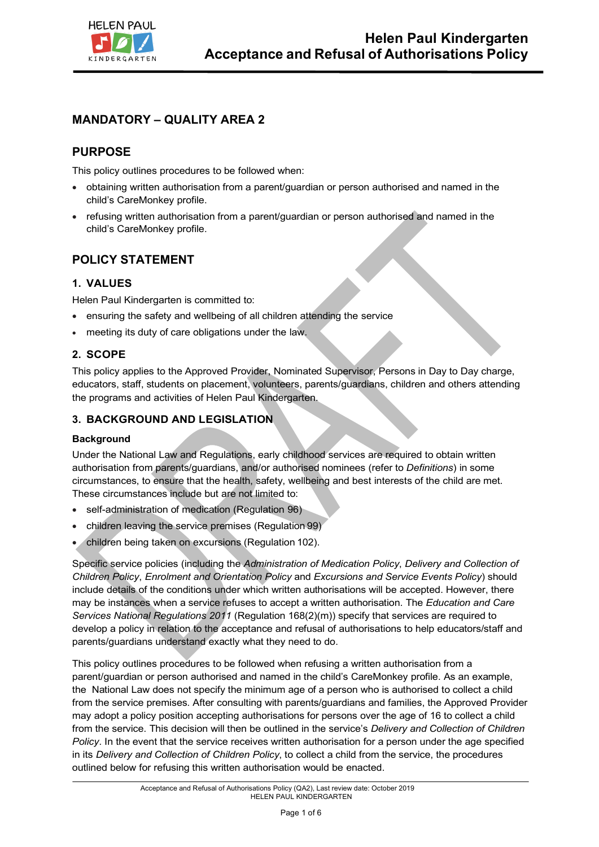

# **MANDATORY – QUALITY AREA 2**

# **PURPOSE**

This policy outlines procedures to be followed when:

- obtaining written authorisation from a parent/guardian or person authorised and named in the child's CareMonkey profile.
- refusing written authorisation from a parent/guardian or person authorised and named in the child's CareMonkey profile.

## **POLICY STATEMENT**

## **1. VALUES**

Helen Paul Kindergarten is committed to:

- ensuring the safety and wellbeing of all children attending the service
- meeting its duty of care obligations under the law.

### **2. SCOPE**

This policy applies to the Approved Provider, Nominated Supervisor, Persons in Day to Day charge, educators, staff, students on placement, volunteers, parents/guardians, children and others attending the programs and activities of Helen Paul Kindergarten.

### **3. BACKGROUND AND LEGISLATION**

### **Background**

Under the National Law and Regulations, early childhood services are required to obtain written authorisation from parents/guardians, and/or authorised nominees (refer to *Definitions*) in some circumstances, to ensure that the health, safety, wellbeing and best interests of the child are met. These circumstances include but are not limited to:

- self-administration of medication (Regulation 96)
- children leaving the service premises (Regulation 99)
- children being taken on excursions (Regulation 102).

Specific service policies (including the *Administration of Medication Policy*, *Delivery and Collection of Children Policy*, *Enrolment and Orientation Policy* and *Excursions and Service Events Policy*) should include details of the conditions under which written authorisations will be accepted. However, there may be instances when a service refuses to accept a written authorisation. The *Education and Care Services National Regulations 2011* (Regulation 168(2)(m)) specify that services are required to develop a policy in relation to the acceptance and refusal of authorisations to help educators/staff and parents/guardians understand exactly what they need to do.

This policy outlines procedures to be followed when refusing a written authorisation from a parent/guardian or person authorised and named in the child's CareMonkey profile. As an example, the National Law does not specify the minimum age of a person who is authorised to collect a child from the service premises. After consulting with parents/guardians and families, the Approved Provider may adopt a policy position accepting authorisations for persons over the age of 16 to collect a child from the service. This decision will then be outlined in the service's *Delivery and Collection of Children Policy*. In the event that the service receives written authorisation for a person under the age specified in its *Delivery and Collection of Children Policy*, to collect a child from the service, the procedures outlined below for refusing this written authorisation would be enacted.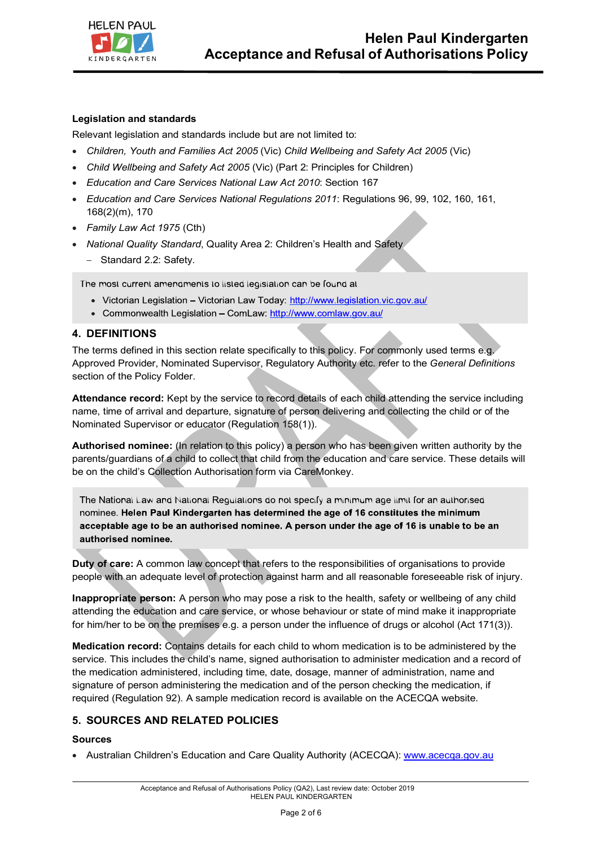

### **Legislation and standards**

Relevant legislation and standards include but are not limited to:

- *Children, Youth and Families Act 2005* (Vic) *Child Wellbeing and Safety Act 2005* (Vic)
- *Child Wellbeing and Safety Act 2005* (Vic) (Part 2: Principles for Children)
- *Education and Care Services National Law Act 2010*: Section 167
- *Education and Care Services National Regulations 2011*: Regulations 96, 99, 102, 160, 161, 168(2)(m), 170
- *Family Law Act 1975* (Cth)
- *National Quality Standard*, Quality Area 2: Children's Health and Safety - Standard 2.2: Safety.

The most current amendments to listed legislation can be found at:

- Victorian Legislation Victorian Law Today: http://www.legislation.vic.gov.au/
- Commonwealth Legislation ComLaw: http://www.comlaw.gov.au/

### **4. DEFINITIONS**

The terms defined in this section relate specifically to this policy. For commonly used terms e.g. Approved Provider, Nominated Supervisor, Regulatory Authority etc. refer to the *General Definitions*  section of the Policy Folder.

**Attendance record:** Kept by the service to record details of each child attending the service including name, time of arrival and departure, signature of person delivering and collecting the child or of the Nominated Supervisor or educator (Regulation 158(1)).

**Authorised nominee:** (In relation to this policy) a person who has been given written authority by the parents/guardians of a child to collect that child from the education and care service. These details will be on the child's Collection Authorisation form via CareMonkey.

The National Law and National Regulations do not specify a minimum age limit for an authorised nominee. Helen Paul Kindergarten has determined the age of 16 constitutes the minimum acceptable age to be an authorised nominee. A person under the age of 16 is unable to be an authorised nominee.

**Duty of care:** A common law concept that refers to the responsibilities of organisations to provide people with an adequate level of protection against harm and all reasonable foreseeable risk of injury.

**Inappropriate person:** A person who may pose a risk to the health, safety or wellbeing of any child attending the education and care service, or whose behaviour or state of mind make it inappropriate for him/her to be on the premises e.g. a person under the influence of drugs or alcohol (Act 171(3)).

**Medication record:** Contains details for each child to whom medication is to be administered by the service. This includes the child's name, signed authorisation to administer medication and a record of the medication administered, including time, date, dosage, manner of administration, name and signature of person administering the medication and of the person checking the medication, if required (Regulation 92). A sample medication record is available on the ACECQA website.

### **5. SOURCES AND RELATED POLICIES**

### **Sources**

• Australian Children's Education and Care Quality Authority (ACECQA): www.acecqa.gov.au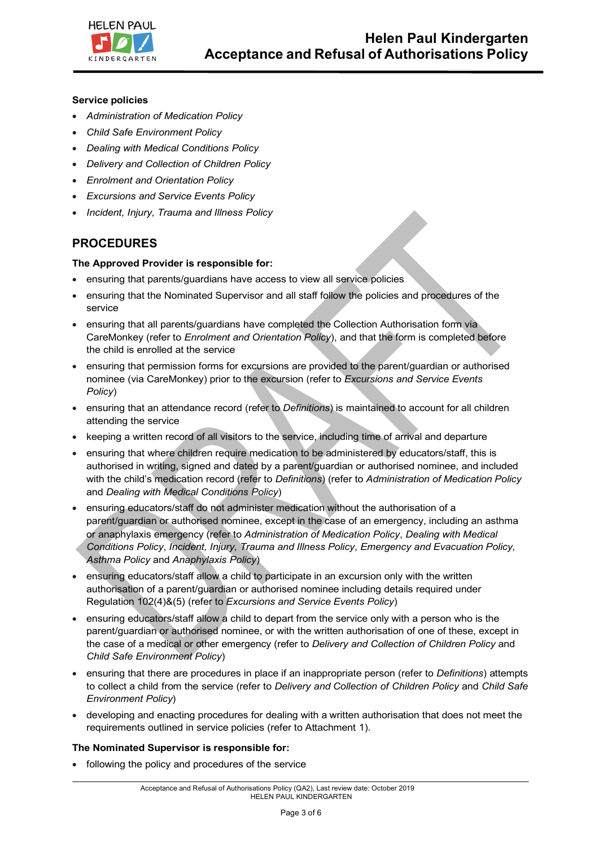

#### **Service policies**

- *Administration of Medication Policy*
- *Child Safe Environment Policy*
- *Dealing with Medical Conditions Policy*
- *Delivery and Collection of Children Policy*
- *Enrolment and Orientation Policy*
- *Excursions and Service Events Policy*
- *Incident, Injury, Trauma and Illness Policy*

## **PROCEDURES**

### **The Approved Provider is responsible for:**

- ensuring that parents/guardians have access to view all service policies
- ensuring that the Nominated Supervisor and all staff follow the policies and procedures of the service
- ensuring that all parents/guardians have completed the Collection Authorisation form via CareMonkey (refer to *Enrolment and Orientation Policy*), and that the form is completed before the child is enrolled at the service
- ensuring that permission forms for excursions are provided to the parent/guardian or authorised nominee (via CareMonkey) prior to the excursion (refer to *Excursions and Service Events Policy*)
- ensuring that an attendance record (refer to *Definitions*) is maintained to account for all children attending the service
- keeping a written record of all visitors to the service, including time of arrival and departure
- ensuring that where children require medication to be administered by educators/staff, this is authorised in writing, signed and dated by a parent/guardian or authorised nominee, and included with the child's medication record (refer to *Definitions*) (refer to *Administration of Medication Policy*  and *Dealing with Medical Conditions Policy*)
- ensuring educators/staff do not administer medication without the authorisation of a parent/guardian or authorised nominee, except in the case of an emergency, including an asthma or anaphylaxis emergency (refer to *Administration of Medication Policy*, *Dealing with Medical Conditions Policy*, *Incident, Injury, Trauma and Illness Policy*, *Emergency and Evacuation Policy, Asthma Policy* and *Anaphylaxis Policy*)
- ensuring educators/staff allow a child to participate in an excursion only with the written authorisation of a parent/guardian or authorised nominee including details required under Regulation 102(4)&(5) (refer to *Excursions and Service Events Policy*)
- ensuring educators/staff allow a child to depart from the service only with a person who is the parent/guardian or authorised nominee, or with the written authorisation of one of these, except in the case of a medical or other emergency (refer to *Delivery and Collection of Children Policy* and *Child Safe Environment Policy*)
- ensuring that there are procedures in place if an inappropriate person (refer to *Definitions*) attempts to collect a child from the service (refer to *Delivery and Collection of Children Policy* and *Child Safe Environment Policy*)
- developing and enacting procedures for dealing with a written authorisation that does not meet the requirements outlined in service policies (refer to Attachment 1).

#### **The Nominated Supervisor is responsible for:**

• following the policy and procedures of the service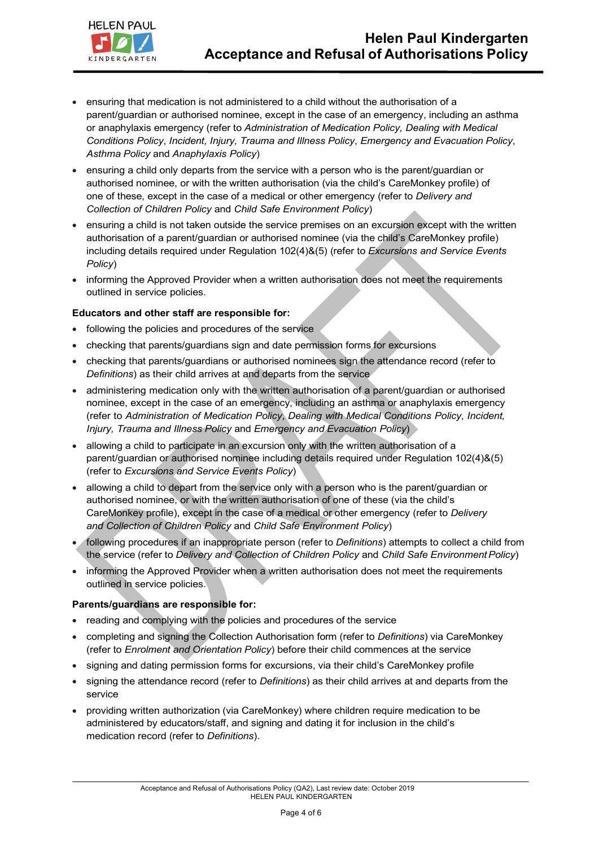



- ensuring that medication is not administered to a child without the authorisation of a parent/guardian or authorised nominee, except in the case of an emergency, including an asthma or anaphylaxis emergency (refer to *Administration of Medication Policy, Dealing with Medical Conditions Policy*, *Incident, Injury, Trauma and Illness Policy*, *Emergency and Evacuation Policy*, *Asthma Policy* and *Anaphylaxis Policy*)
- ensuring a child only departs from the service with a person who is the parent/guardian or authorised nominee, or with the written authorisation (via the child's CareMonkey profile) of one of these, except in the case of a medical or other emergency (refer to *Delivery and Collection of Children Policy* and *Child Safe Environment Policy*)
- ensuring a child is not taken outside the service premises on an excursion except with the written authorisation of a parent/guardian or authorised nominee (via the child's CareMonkey profile) including details required under Regulation 102(4)&(5) (refer to *Excursions and Service Events Policy*)
- informing the Approved Provider when a written authorisation does not meet the requirements outlined in service policies.

#### **Educators and other staff are responsible for:**

- following the policies and procedures of the service
- checking that parents/guardians sign and date permission forms for excursions
- checking that parents/guardians or authorised nominees sign the attendance record (refer to *Definitions*) as their child arrives at and departs from the service
- administering medication only with the written authorisation of a parent/guardian or authorised nominee, except in the case of an emergency, including an asthma or anaphylaxis emergency (refer to *Administration of Medication Policy*, *Dealing with Medical Conditions Policy*, *Incident, Injury, Trauma and Illness Policy* and *Emergency and Evacuation Policy*)
- allowing a child to participate in an excursion only with the written authorisation of a parent/guardian or authorised nominee including details required under Regulation 102(4)&(5) (refer to *Excursions and Service Events Policy*)
- allowing a child to depart from the service only with a person who is the parent/guardian or authorised nominee, or with the written authorisation of one of these (via the child's CareMonkey profile), except in the case of a medical or other emergency (refer to *Delivery and Collection of Children Policy* and *Child Safe Environment Policy*)
- following procedures if an inappropriate person (refer to *Definitions*) attempts to collect a child from the service (refer to *Delivery and Collection of Children Policy* and *Child Safe EnvironmentPolicy*)
- informing the Approved Provider when a written authorisation does not meet the requirements outlined in service policies.

### **Parents/guardians are responsible for:**

- reading and complying with the policies and procedures of the service
- completing and signing the Collection Authorisation form (refer to *Definitions*) via CareMonkey (refer to *Enrolment and Orientation Policy*) before their child commences at the service
- signing and dating permission forms for excursions, via their child's CareMonkey profile
- signing the attendance record (refer to *Definitions*) as their child arrives at and departs from the service
- providing written authorization (via CareMonkey) where children require medication to be administered by educators/staff, and signing and dating it for inclusion in the child's medication record (refer to *Definitions*).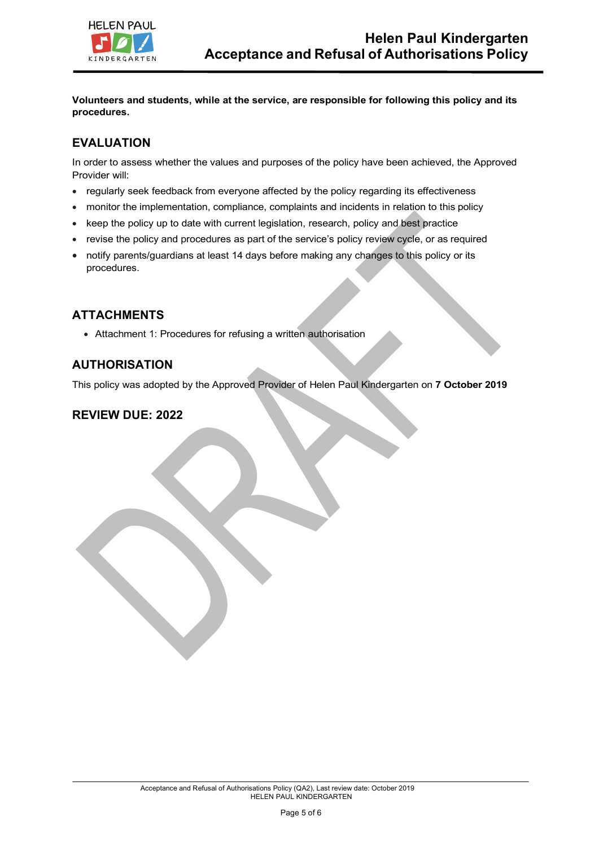

**Volunteers and students, while at the service, are responsible for following this policy and its procedures.**

# **EVALUATION**

In order to assess whether the values and purposes of the policy have been achieved, the Approved Provider will:

- regularly seek feedback from everyone affected by the policy regarding its effectiveness
- monitor the implementation, compliance, complaints and incidents in relation to this policy
- keep the policy up to date with current legislation, research, policy and best practice
- revise the policy and procedures as part of the service's policy review cycle, or as required
- notify parents/guardians at least 14 days before making any changes to this policy or its procedures.

## **ATTACHMENTS**

• Attachment 1: Procedures for refusing a written authorisation

### **AUTHORISATION**

This policy was adopted by the Approved Provider of Helen Paul Kindergarten on **7 October 2019**

## **REVIEW DUE: 2022**